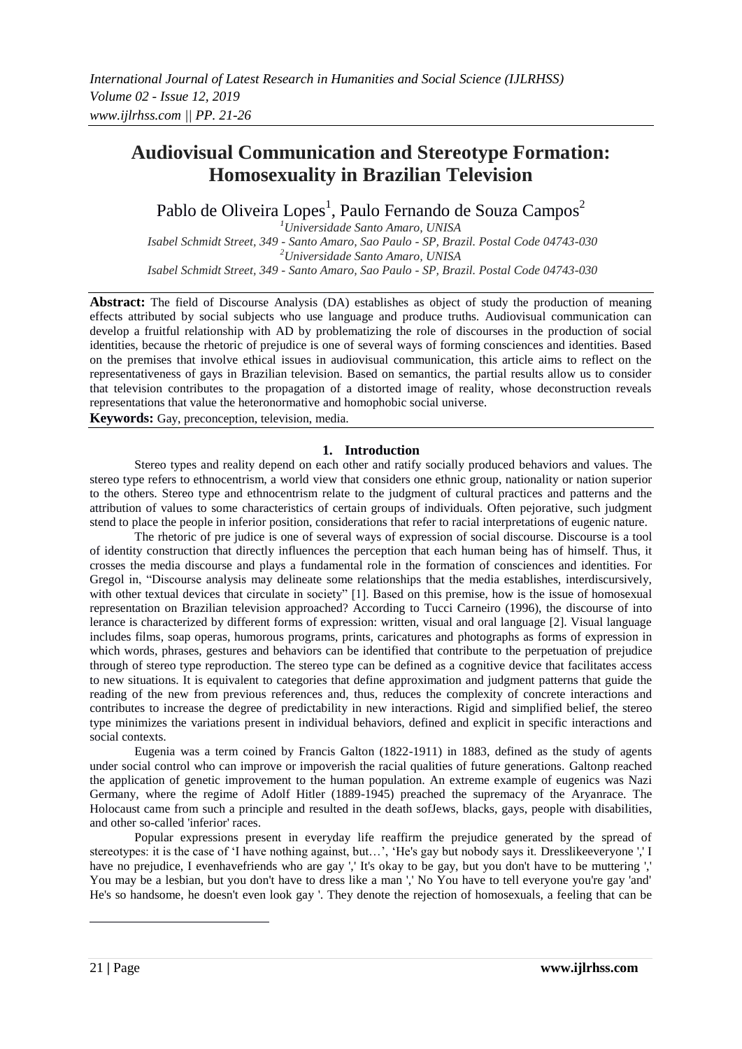# **Audiovisual Communication and Stereotype Formation: Homosexuality in Brazilian Television**

Pablo de Oliveira Lopes<sup>1</sup>, Paulo Fernando de Souza Campos<sup>2</sup>

*<sup>1</sup>Universidade Santo Amaro, UNISA Isabel Schmidt Street, 349 - Santo Amaro, Sao Paulo - SP, Brazil. Postal Code 04743-030 <sup>2</sup>Universidade Santo Amaro, UNISA Isabel Schmidt Street, 349 - Santo Amaro, Sao Paulo - SP, Brazil. Postal Code 04743-030*

**Abstract:** The field of Discourse Analysis (DA) establishes as object of study the production of meaning effects attributed by social subjects who use language and produce truths. Audiovisual communication can develop a fruitful relationship with AD by problematizing the role of discourses in the production of social identities, because the rhetoric of prejudice is one of several ways of forming consciences and identities. Based on the premises that involve ethical issues in audiovisual communication, this article aims to reflect on the representativeness of gays in Brazilian television. Based on semantics, the partial results allow us to consider that television contributes to the propagation of a distorted image of reality, whose deconstruction reveals representations that value the heteronormative and homophobic social universe.

**Keywords:** Gay, preconception, television, media.

## **1. Introduction**

Stereo types and reality depend on each other and ratify socially produced behaviors and values. The stereo type refers to ethnocentrism, a world view that considers one ethnic group, nationality or nation superior to the others. Stereo type and ethnocentrism relate to the judgment of cultural practices and patterns and the attribution of values to some characteristics of certain groups of individuals. Often pejorative, such judgment stend to place the people in inferior position, considerations that refer to racial interpretations of eugenic nature.

The rhetoric of pre judice is one of several ways of expression of social discourse. Discourse is a tool of identity construction that directly influences the perception that each human being has of himself. Thus, it crosses the media discourse and plays a fundamental role in the formation of consciences and identities. For Gregol in, "Discourse analysis may delineate some relationships that the media establishes, interdiscursively, with other textual devices that circulate in society" [1]. Based on this premise, how is the issue of homosexual representation on Brazilian television approached? According to Tucci Carneiro (1996), the discourse of into lerance is characterized by different forms of expression: written, visual and oral language [2]. Visual language includes films, soap operas, humorous programs, prints, caricatures and photographs as forms of expression in which words, phrases, gestures and behaviors can be identified that contribute to the perpetuation of prejudice through of stereo type reproduction. The stereo type can be defined as a cognitive device that facilitates access to new situations. It is equivalent to categories that define approximation and judgment patterns that guide the reading of the new from previous references and, thus, reduces the complexity of concrete interactions and contributes to increase the degree of predictability in new interactions. Rigid and simplified belief, the stereo type minimizes the variations present in individual behaviors, defined and explicit in specific interactions and social contexts.

Eugenia was a term coined by Francis Galton (1822-1911) in 1883, defined as the study of agents under social control who can improve or impoverish the racial qualities of future generations. Galtonp reached the application of genetic improvement to the human population. An extreme example of eugenics was Nazi Germany, where the regime of Adolf Hitler (1889-1945) preached the supremacy of the Aryanrace. The Holocaust came from such a principle and resulted in the death sofJews, blacks, gays, people with disabilities, and other so-called 'inferior' races.

Popular expressions present in everyday life reaffirm the prejudice generated by the spread of stereotypes: it is the case of 'I have nothing against, but...', 'He's gay but nobody says it. Dresslikeeveryone ',' I have no prejudice, I evenhavefriends who are gay ',' It's okay to be gay, but you don't have to be muttering ',' You may be a lesbian, but you don't have to dress like a man ',' No You have to tell everyone you're gay 'and' He's so handsome, he doesn't even look gay '. They denote the rejection of homosexuals, a feeling that can be

1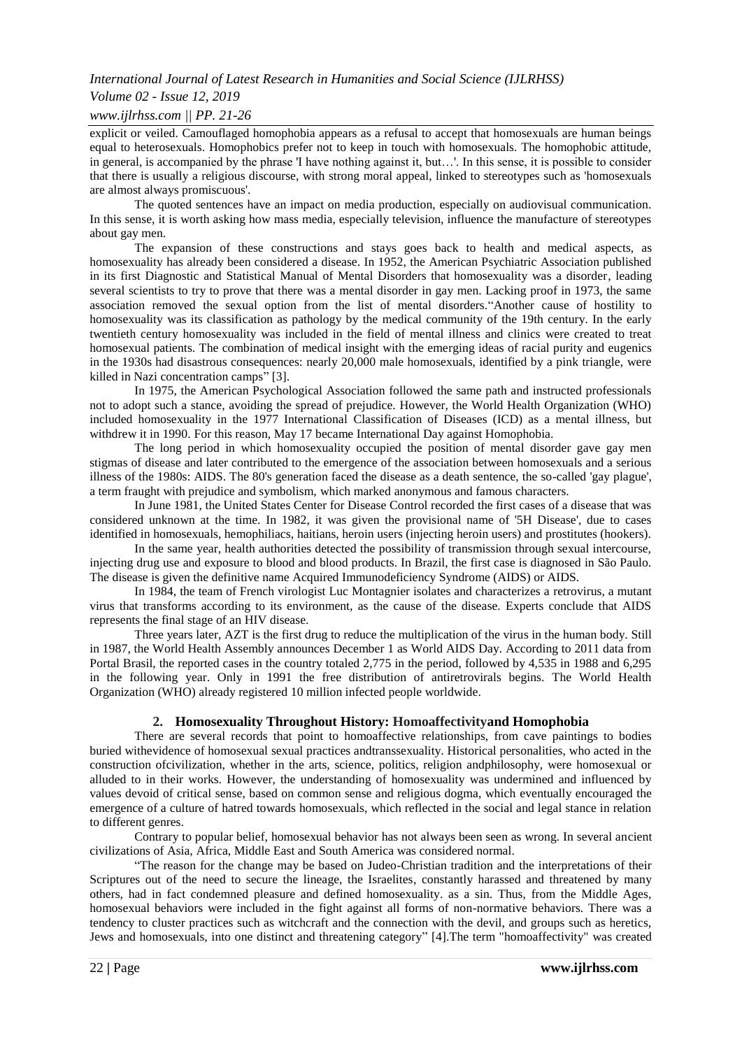## *Volume 02 - Issue 12, 2019*

#### *www.ijlrhss.com || PP. 21-26*

explicit or veiled. Camouflaged homophobia appears as a refusal to accept that homosexuals are human beings equal to heterosexuals. Homophobics prefer not to keep in touch with homosexuals. The homophobic attitude, in general, is accompanied by the phrase 'I have nothing against it, but…'. In this sense, it is possible to consider that there is usually a religious discourse, with strong moral appeal, linked to stereotypes such as 'homosexuals are almost always promiscuous'.

The quoted sentences have an impact on media production, especially on audiovisual communication. In this sense, it is worth asking how mass media, especially television, influence the manufacture of stereotypes about gay men.

The expansion of these constructions and stays goes back to health and medical aspects, as homosexuality has already been considered a disease. In 1952, the American Psychiatric Association published in its first Diagnostic and Statistical Manual of Mental Disorders that homosexuality was a disorder, leading several scientists to try to prove that there was a mental disorder in gay men. Lacking proof in 1973, the same association removed the sexual option from the list of mental disorders."Another cause of hostility to homosexuality was its classification as pathology by the medical community of the 19th century. In the early twentieth century homosexuality was included in the field of mental illness and clinics were created to treat homosexual patients. The combination of medical insight with the emerging ideas of racial purity and eugenics in the 1930s had disastrous consequences: nearly 20,000 male homosexuals, identified by a pink triangle, were killed in Nazi concentration camps" [3].

In 1975, the American Psychological Association followed the same path and instructed professionals not to adopt such a stance, avoiding the spread of prejudice. However, the World Health Organization (WHO) included homosexuality in the 1977 International Classification of Diseases (ICD) as a mental illness, but withdrew it in 1990. For this reason, May 17 became International Day against Homophobia.

The long period in which homosexuality occupied the position of mental disorder gave gay men stigmas of disease and later contributed to the emergence of the association between homosexuals and a serious illness of the 1980s: AIDS. The 80's generation faced the disease as a death sentence, the so-called 'gay plague', a term fraught with prejudice and symbolism, which marked anonymous and famous characters.

In June 1981, the United States Center for Disease Control recorded the first cases of a disease that was considered unknown at the time. In 1982, it was given the provisional name of '5H Disease', due to cases identified in homosexuals, hemophiliacs, haitians, heroin users (injecting heroin users) and prostitutes (hookers).

In the same year, health authorities detected the possibility of transmission through sexual intercourse, injecting drug use and exposure to blood and blood products. In Brazil, the first case is diagnosed in São Paulo. The disease is given the definitive name Acquired Immunodeficiency Syndrome (AIDS) or AIDS.

In 1984, the team of French virologist Luc Montagnier isolates and characterizes a retrovirus, a mutant virus that transforms according to its environment, as the cause of the disease. Experts conclude that AIDS represents the final stage of an HIV disease.

Three years later, AZT is the first drug to reduce the multiplication of the virus in the human body. Still in 1987, the World Health Assembly announces December 1 as World AIDS Day. According to 2011 data from Portal Brasil, the reported cases in the country totaled 2,775 in the period, followed by 4,535 in 1988 and 6,295 in the following year. Only in 1991 the free distribution of antiretrovirals begins. The World Health Organization (WHO) already registered 10 million infected people worldwide.

## **2. Homosexuality Throughout History: Homoaffectivityand Homophobia**

There are several records that point to homoaffective relationships, from cave paintings to bodies buried withevidence of homosexual sexual practices andtranssexuality. Historical personalities, who acted in the construction ofcivilization, whether in the arts, science, politics, religion andphilosophy, were homosexual or alluded to in their works. However, the understanding of homosexuality was undermined and influenced by values devoid of critical sense, based on common sense and religious dogma, which eventually encouraged the emergence of a culture of hatred towards homosexuals, which reflected in the social and legal stance in relation to different genres.

Contrary to popular belief, homosexual behavior has not always been seen as wrong. In several ancient civilizations of Asia, Africa, Middle East and South America was considered normal.

"The reason for the change may be based on Judeo-Christian tradition and the interpretations of their Scriptures out of the need to secure the lineage, the Israelites, constantly harassed and threatened by many others, had in fact condemned pleasure and defined homosexuality. as a sin. Thus, from the Middle Ages, homosexual behaviors were included in the fight against all forms of non-normative behaviors. There was a tendency to cluster practices such as witchcraft and the connection with the devil, and groups such as heretics, Jews and homosexuals, into one distinct and threatening category" [4].The term "homoaffectivity" was created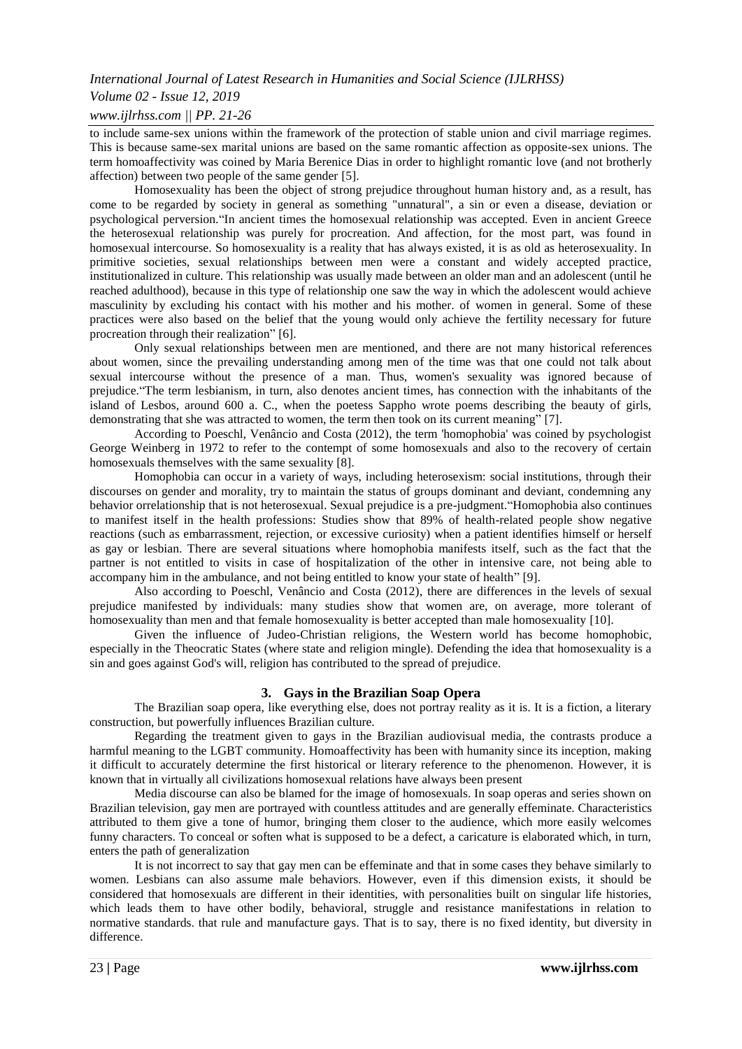## *Volume 02 - Issue 12, 2019*

*www.ijlrhss.com || PP. 21-26*

to include same-sex unions within the framework of the protection of stable union and civil marriage regimes. This is because same-sex marital unions are based on the same romantic affection as opposite-sex unions. The term homoaffectivity was coined by Maria Berenice Dias in order to highlight romantic love (and not brotherly affection) between two people of the same gender [5].

Homosexuality has been the object of strong prejudice throughout human history and, as a result, has come to be regarded by society in general as something "unnatural", a sin or even a disease, deviation or psychological perversion."In ancient times the homosexual relationship was accepted. Even in ancient Greece the heterosexual relationship was purely for procreation. And affection, for the most part, was found in homosexual intercourse. So homosexuality is a reality that has always existed, it is as old as heterosexuality. In primitive societies, sexual relationships between men were a constant and widely accepted practice, institutionalized in culture. This relationship was usually made between an older man and an adolescent (until he reached adulthood), because in this type of relationship one saw the way in which the adolescent would achieve masculinity by excluding his contact with his mother and his mother. of women in general. Some of these practices were also based on the belief that the young would only achieve the fertility necessary for future procreation through their realization" [6].

Only sexual relationships between men are mentioned, and there are not many historical references about women, since the prevailing understanding among men of the time was that one could not talk about sexual intercourse without the presence of a man. Thus, women's sexuality was ignored because of prejudice."The term lesbianism, in turn, also denotes ancient times, has connection with the inhabitants of the island of Lesbos, around 600 a. C., when the poetess Sappho wrote poems describing the beauty of girls, demonstrating that she was attracted to women, the term then took on its current meaning" [7].

According to Poeschl, Venâncio and Costa (2012), the term 'homophobia' was coined by psychologist George Weinberg in 1972 to refer to the contempt of some homosexuals and also to the recovery of certain homosexuals themselves with the same sexuality [8].

Homophobia can occur in a variety of ways, including heterosexism: social institutions, through their discourses on gender and morality, try to maintain the status of groups dominant and deviant, condemning any behavior orrelationship that is not heterosexual. Sexual prejudice is a pre-judgment."Homophobia also continues to manifest itself in the health professions: Studies show that 89% of health-related people show negative reactions (such as embarrassment, rejection, or excessive curiosity) when a patient identifies himself or herself as gay or lesbian. There are several situations where homophobia manifests itself, such as the fact that the partner is not entitled to visits in case of hospitalization of the other in intensive care, not being able to accompany him in the ambulance, and not being entitled to know your state of health" [9].

Also according to Poeschl, Venâncio and Costa (2012), there are differences in the levels of sexual prejudice manifested by individuals: many studies show that women are, on average, more tolerant of homosexuality than men and that female homosexuality is better accepted than male homosexuality [10].

Given the influence of Judeo-Christian religions, the Western world has become homophobic, especially in the Theocratic States (where state and religion mingle). Defending the idea that homosexuality is a sin and goes against God's will, religion has contributed to the spread of prejudice.

### **3. Gays in the Brazilian Soap Opera**

The Brazilian soap opera, like everything else, does not portray reality as it is. It is a fiction, a literary construction, but powerfully influences Brazilian culture.

Regarding the treatment given to gays in the Brazilian audiovisual media, the contrasts produce a harmful meaning to the LGBT community. Homoaffectivity has been with humanity since its inception, making it difficult to accurately determine the first historical or literary reference to the phenomenon. However, it is known that in virtually all civilizations homosexual relations have always been present

Media discourse can also be blamed for the image of homosexuals. In soap operas and series shown on Brazilian television, gay men are portrayed with countless attitudes and are generally effeminate. Characteristics attributed to them give a tone of humor, bringing them closer to the audience, which more easily welcomes funny characters. To conceal or soften what is supposed to be a defect, a caricature is elaborated which, in turn, enters the path of generalization

It is not incorrect to say that gay men can be effeminate and that in some cases they behave similarly to women. Lesbians can also assume male behaviors. However, even if this dimension exists, it should be considered that homosexuals are different in their identities, with personalities built on singular life histories, which leads them to have other bodily, behavioral, struggle and resistance manifestations in relation to normative standards. that rule and manufacture gays. That is to say, there is no fixed identity, but diversity in difference.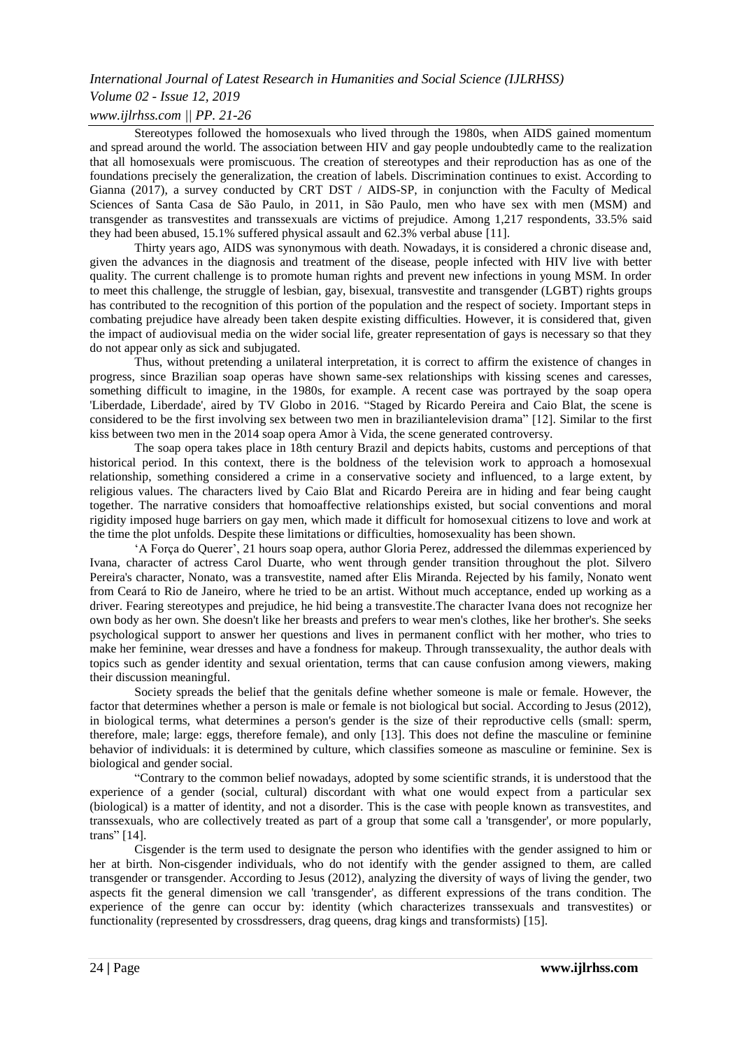## *Volume 02 - Issue 12, 2019*

### *www.ijlrhss.com || PP. 21-26*

Stereotypes followed the homosexuals who lived through the 1980s, when AIDS gained momentum and spread around the world. The association between HIV and gay people undoubtedly came to the realization that all homosexuals were promiscuous. The creation of stereotypes and their reproduction has as one of the foundations precisely the generalization, the creation of labels. Discrimination continues to exist. According to Gianna (2017), a survey conducted by CRT DST / AIDS-SP, in conjunction with the Faculty of Medical Sciences of Santa Casa de São Paulo, in 2011, in São Paulo, men who have sex with men (MSM) and transgender as transvestites and transsexuals are victims of prejudice. Among 1,217 respondents, 33.5% said they had been abused, 15.1% suffered physical assault and 62.3% verbal abuse [11].

Thirty years ago, AIDS was synonymous with death. Nowadays, it is considered a chronic disease and, given the advances in the diagnosis and treatment of the disease, people infected with HIV live with better quality. The current challenge is to promote human rights and prevent new infections in young MSM. In order to meet this challenge, the struggle of lesbian, gay, bisexual, transvestite and transgender (LGBT) rights groups has contributed to the recognition of this portion of the population and the respect of society. Important steps in combating prejudice have already been taken despite existing difficulties. However, it is considered that, given the impact of audiovisual media on the wider social life, greater representation of gays is necessary so that they do not appear only as sick and subjugated.

Thus, without pretending a unilateral interpretation, it is correct to affirm the existence of changes in progress, since Brazilian soap operas have shown same-sex relationships with kissing scenes and caresses, something difficult to imagine, in the 1980s, for example. A recent case was portrayed by the soap opera 'Liberdade, Liberdade', aired by TV Globo in 2016. "Staged by Ricardo Pereira and Caio Blat, the scene is considered to be the first involving sex between two men in braziliantelevision drama" [12]. Similar to the first kiss between two men in the 2014 soap opera Amor à Vida, the scene generated controversy.

The soap opera takes place in 18th century Brazil and depicts habits, customs and perceptions of that historical period. In this context, there is the boldness of the television work to approach a homosexual relationship, something considered a crime in a conservative society and influenced, to a large extent, by religious values. The characters lived by Caio Blat and Ricardo Pereira are in hiding and fear being caught together. The narrative considers that homoaffective relationships existed, but social conventions and moral rigidity imposed huge barriers on gay men, which made it difficult for homosexual citizens to love and work at the time the plot unfolds. Despite these limitations or difficulties, homosexuality has been shown.

"A Força do Querer", 21 hours soap opera, author Gloria Perez, addressed the dilemmas experienced by Ivana, character of actress Carol Duarte, who went through gender transition throughout the plot. Silvero Pereira's character, Nonato, was a transvestite, named after Elis Miranda. Rejected by his family, Nonato went from Ceará to Rio de Janeiro, where he tried to be an artist. Without much acceptance, ended up working as a driver. Fearing stereotypes and prejudice, he hid being a transvestite.The character Ivana does not recognize her own body as her own. She doesn't like her breasts and prefers to wear men's clothes, like her brother's. She seeks psychological support to answer her questions and lives in permanent conflict with her mother, who tries to make her feminine, wear dresses and have a fondness for makeup. Through transsexuality, the author deals with topics such as gender identity and sexual orientation, terms that can cause confusion among viewers, making their discussion meaningful.

Society spreads the belief that the genitals define whether someone is male or female. However, the factor that determines whether a person is male or female is not biological but social. According to Jesus (2012), in biological terms, what determines a person's gender is the size of their reproductive cells (small: sperm, therefore, male; large: eggs, therefore female), and only [13]. This does not define the masculine or feminine behavior of individuals: it is determined by culture, which classifies someone as masculine or feminine. Sex is biological and gender social.

"Contrary to the common belief nowadays, adopted by some scientific strands, it is understood that the experience of a gender (social, cultural) discordant with what one would expect from a particular sex (biological) is a matter of identity, and not a disorder. This is the case with people known as transvestites, and transsexuals, who are collectively treated as part of a group that some call a 'transgender', or more popularly, trans" [14].

Cisgender is the term used to designate the person who identifies with the gender assigned to him or her at birth. Non-cisgender individuals, who do not identify with the gender assigned to them, are called transgender or transgender. According to Jesus (2012), analyzing the diversity of ways of living the gender, two aspects fit the general dimension we call 'transgender', as different expressions of the trans condition. The experience of the genre can occur by: identity (which characterizes transsexuals and transvestites) or functionality (represented by crossdressers, drag queens, drag kings and transformists) [15].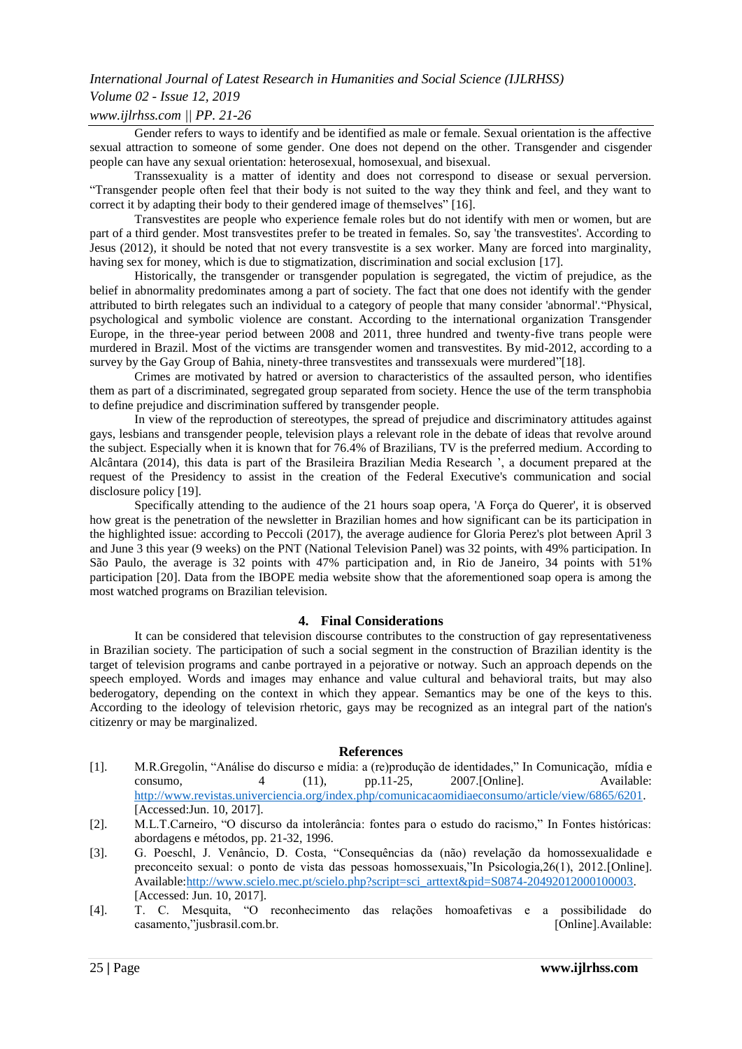## *Volume 02 - Issue 12, 2019*

#### *www.ijlrhss.com || PP. 21-26*

Gender refers to ways to identify and be identified as male or female. Sexual orientation is the affective sexual attraction to someone of some gender. One does not depend on the other. Transgender and cisgender people can have any sexual orientation: heterosexual, homosexual, and bisexual.

Transsexuality is a matter of identity and does not correspond to disease or sexual perversion. "Transgender people often feel that their body is not suited to the way they think and feel, and they want to correct it by adapting their body to their gendered image of themselves" [16].

Transvestites are people who experience female roles but do not identify with men or women, but are part of a third gender. Most transvestites prefer to be treated in females. So, say 'the transvestites'. According to Jesus (2012), it should be noted that not every transvestite is a sex worker. Many are forced into marginality, having sex for money, which is due to stigmatization, discrimination and social exclusion [17].

Historically, the transgender or transgender population is segregated, the victim of prejudice, as the belief in abnormality predominates among a part of society. The fact that one does not identify with the gender attributed to birth relegates such an individual to a category of people that many consider 'abnormal'."Physical, psychological and symbolic violence are constant. According to the international organization Transgender Europe, in the three-year period between 2008 and 2011, three hundred and twenty-five trans people were murdered in Brazil. Most of the victims are transgender women and transvestites. By mid-2012, according to a survey by the Gay Group of Bahia, ninety-three transvestites and transsexuals were murdered"[18].

Crimes are motivated by hatred or aversion to characteristics of the assaulted person, who identifies them as part of a discriminated, segregated group separated from society. Hence the use of the term transphobia to define prejudice and discrimination suffered by transgender people.

In view of the reproduction of stereotypes, the spread of prejudice and discriminatory attitudes against gays, lesbians and transgender people, television plays a relevant role in the debate of ideas that revolve around the subject. Especially when it is known that for 76.4% of Brazilians, TV is the preferred medium. According to Alcântara (2014), this data is part of the Brasileira Brazilian Media Research ", a document prepared at the request of the Presidency to assist in the creation of the Federal Executive's communication and social disclosure policy [19].

Specifically attending to the audience of the 21 hours soap opera, 'A Força do Querer', it is observed how great is the penetration of the newsletter in Brazilian homes and how significant can be its participation in the highlighted issue: according to Peccoli (2017), the average audience for Gloria Perez's plot between April 3 and June 3 this year (9 weeks) on the PNT (National Television Panel) was 32 points, with 49% participation. In São Paulo, the average is 32 points with 47% participation and, in Rio de Janeiro, 34 points with 51% participation [20]. Data from the IBOPE media website show that the aforementioned soap opera is among the most watched programs on Brazilian television.

#### **4. Final Considerations**

It can be considered that television discourse contributes to the construction of gay representativeness in Brazilian society. The participation of such a social segment in the construction of Brazilian identity is the target of television programs and canbe portrayed in a pejorative or notway. Such an approach depends on the speech employed. Words and images may enhance and value cultural and behavioral traits, but may also bederogatory, depending on the context in which they appear. Semantics may be one of the keys to this. According to the ideology of television rhetoric, gays may be recognized as an integral part of the nation's citizenry or may be marginalized.

#### **References**

- [1]. M.R.Gregolin, "Análise do discurso e mídia: a (re)produção de identidades," In Comunicação, mídia e consumo, 4 (11), pp.11-25, 2007.[Online]. Available: [http://www.revistas.univerciencia.org/index.php/comunicacaomidiaeconsumo/article/view/6865/6201.](http://www.revistas.univerciencia.org/index.php/comunicacaomidiaeconsumo/article/view/6865/6201) [Accessed:Jun. 10, 2017].
- [2]. M.L.T.Carneiro, "O discurso da intolerância: fontes para o estudo do racismo," In Fontes históricas: abordagens e métodos, pp. 21-32, 1996.
- [3]. G. Poeschl, J. Venâncio, D. Costa, "Consequências da (não) revelação da homossexualidade e preconceito sexual: o ponto de vista das pessoas homossexuais,"In Psicologia,26(1), 2012.[Online]. Available[:http://www.scielo.mec.pt/scielo.php?script=sci\\_arttext&pid=S0874-20492012000100003.](http://www.scielo.mec.pt/scielo.php?script=sci_arttext&pid=S0874-20492012000100003) [Accessed: Jun. 10, 2017].
- [4]. T. C. Mesquita, "O reconhecimento das relações homoafetivas e a possibilidade do casamento,"jusbrasil.com.br. [Online].Available: